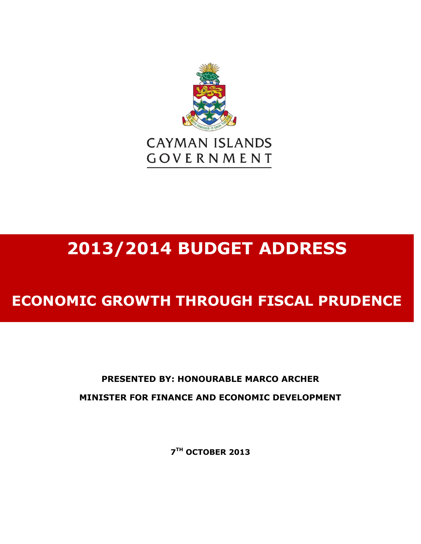

# **2013/2014 BUDGET ADDRESS**

## **ECONOMIC GROWTH THROUGH FISCAL PRUDENCE**

### **PRESENTED BY: HONOURABLE MARCO ARCHER MINISTER FOR FINANCE AND ECONOMIC DEVELOPMENT**

**7 TH OCTOBER 2013**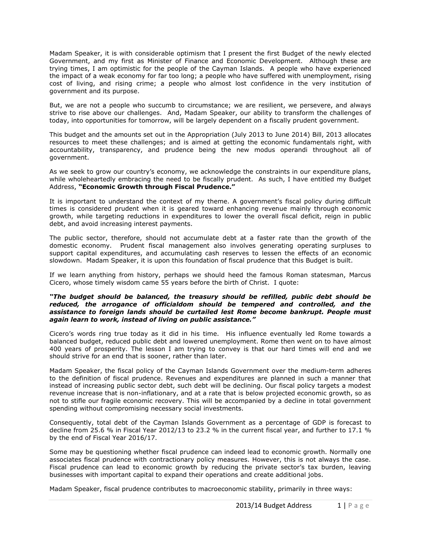Madam Speaker, it is with considerable optimism that I present the first Budget of the newly elected Government, and my first as Minister of Finance and Economic Development. Although these are trying times, I am optimistic for the people of the Cayman Islands. A people who have experienced the impact of a weak economy for far too long; a people who have suffered with unemployment, rising cost of living, and rising crime; a people who almost lost confidence in the very institution of government and its purpose.

But, we are not a people who succumb to circumstance; we are resilient, we persevere, and always strive to rise above our challenges. And, Madam Speaker, our ability to transform the challenges of today, into opportunities for tomorrow, will be largely dependent on a fiscally prudent government.

This budget and the amounts set out in the Appropriation (July 2013 to June 2014) Bill, 2013 allocates resources to meet these challenges; and is aimed at getting the economic fundamentals right, with accountability, transparency, and prudence being the new modus operandi throughout all of government.

As we seek to grow our country's economy, we acknowledge the constraints in our expenditure plans, while wholeheartedly embracing the need to be fiscally prudent. As such, I have entitled my Budget Address, **"Economic Growth through Fiscal Prudence."**

It is important to understand the context of my theme. A government's fiscal policy during difficult times is considered prudent when it is geared toward enhancing revenue mainly through economic growth, while targeting reductions in expenditures to lower the overall fiscal deficit, reign in public debt, and avoid increasing interest payments.

The public sector, therefore, should not accumulate debt at a faster rate than the growth of the domestic economy. Prudent fiscal management also involves generating operating surpluses to support capital expenditures, and accumulating cash reserves to lessen the effects of an economic slowdown. Madam Speaker, it is upon this foundation of fiscal prudence that this Budget is built.

If we learn anything from history, perhaps we should heed the famous Roman statesman, Marcus Cicero, whose timely wisdom came 55 years before the birth of Christ. I quote:

#### *"The budget should be balanced, the treasury should be refilled, public debt should be reduced, the arrogance of officialdom should be tempered and controlled, and the assistance to foreign lands should be curtailed lest Rome become bankrupt. People must again learn to work, instead of living on public assistance."*

Cicero's words ring true today as it did in his time. His influence eventually led Rome towards a balanced budget, reduced public debt and lowered unemployment. Rome then went on to have almost 400 years of prosperity. The lesson I am trying to convey is that our hard times will end and we should strive for an end that is sooner, rather than later.

Madam Speaker, the fiscal policy of the Cayman Islands Government over the medium-term adheres to the definition of fiscal prudence. Revenues and expenditures are planned in such a manner that instead of increasing public sector debt, such debt will be declining. Our fiscal policy targets a modest revenue increase that is non-inflationary, and at a rate that is below projected economic growth, so as not to stifle our fragile economic recovery. This will be accompanied by a decline in total government spending without compromising necessary social investments.

Consequently, total debt of the Cayman Islands Government as a percentage of GDP is forecast to decline from 25.6 % in Fiscal Year 2012/13 to 23.2 % in the current fiscal year, and further to 17.1 % by the end of Fiscal Year 2016/17.

Some may be questioning whether fiscal prudence can indeed lead to economic growth. Normally one associates fiscal prudence with contractionary policy measures. However, this is not always the case. Fiscal prudence can lead to economic growth by reducing the private sector's tax burden, leaving businesses with important capital to expand their operations and create additional jobs.

Madam Speaker, fiscal prudence contributes to macroeconomic stability, primarily in three ways: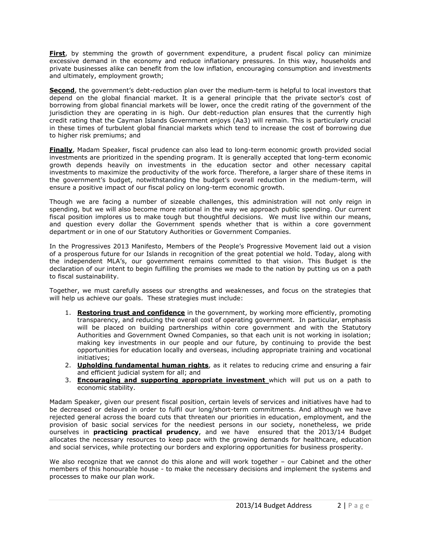**First**, by stemming the growth of government expenditure, a prudent fiscal policy can minimize excessive demand in the economy and reduce inflationary pressures. In this way, households and private businesses alike can benefit from the low inflation, encouraging consumption and investments and ultimately, employment growth;

**Second**, the government's debt-reduction plan over the medium-term is helpful to local investors that depend on the global financial market. It is a general principle that the private sector's cost of borrowing from global financial markets will be lower, once the credit rating of the government of the jurisdiction they are operating in is high. Our debt-reduction plan ensures that the currently high credit rating that the Cayman Islands Government enjoys (Aa3) will remain. This is particularly crucial in these times of turbulent global financial markets which tend to increase the cost of borrowing due to higher risk premiums; and

**Finally**, Madam Speaker, fiscal prudence can also lead to long-term economic growth provided social investments are prioritized in the spending program. It is generally accepted that long-term economic growth depends heavily on investments in the education sector and other necessary capital investments to maximize the productivity of the work force. Therefore, a larger share of these items in the government's budget, notwithstanding the budget's overall reduction in the medium-term, will ensure a positive impact of our fiscal policy on long-term economic growth.

Though we are facing a number of sizeable challenges, this administration will not only reign in spending, but we will also become more rational in the way we approach public spending. Our current fiscal position implores us to make tough but thoughtful decisions. We must live within our means, and question every dollar the Government spends whether that is within a core government department or in one of our Statutory Authorities or Government Companies.

In the Progressives 2013 Manifesto, Members of the People's Progressive Movement laid out a vision of a prosperous future for our Islands in recognition of the great potential we hold. Today, along with the independent MLA's, our government remains committed to that vision. This Budget is the declaration of our intent to begin fulfilling the promises we made to the nation by putting us on a path to fiscal sustainability.

Together, we must carefully assess our strengths and weaknesses, and focus on the strategies that will help us achieve our goals. These strategies must include:

- 1. **Restoring trust and confidence** in the government, by working more efficiently, promoting transparency, and reducing the overall cost of operating government. In particular, emphasis will be placed on building partnerships within core government and with the Statutory Authorities and Government Owned Companies, so that each unit is not working in isolation; making key investments in our people and our future, by continuing to provide the best opportunities for education locally and overseas, including appropriate training and vocational initiatives;
- 2. **Upholding fundamental human rights**, as it relates to reducing crime and ensuring a fair and efficient judicial system for all; and
- 3. **Encouraging and supporting appropriate investment** which will put us on a path to economic stability.

Madam Speaker, given our present fiscal position, certain levels of services and initiatives have had to be decreased or delayed in order to fulfil our long/short-term commitments. And although we have rejected general across the board cuts that threaten our priorities in education, employment, and the provision of basic social services for the neediest persons in our society, nonetheless, we pride ourselves in **practicing practical prudency**, and we have ensured that the 2013/14 Budget allocates the necessary resources to keep pace with the growing demands for healthcare, education and social services, while protecting our borders and exploring opportunities for business prosperity.

We also recognize that we cannot do this alone and will work together - our Cabinet and the other members of this honourable house - to make the necessary decisions and implement the systems and processes to make our plan work.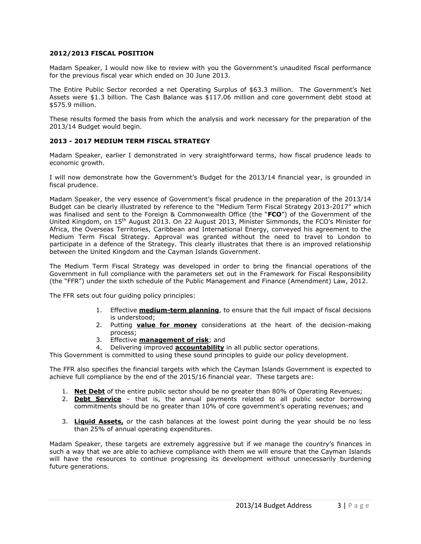#### **2012/2013 FISCAL POSITION**

Madam Speaker, I would now like to review with you the Government's unaudited fiscal performance for the previous fiscal year which ended on 30 June 2013.

The Entire Public Sector recorded a net Operating Surplus of \$63.3 million. The Government's Net Assets were \$1.3 billion. The Cash Balance was \$117.06 million and core government debt stood at \$575.9 million.

These results formed the basis from which the analysis and work necessary for the preparation of the 2013/14 Budget would begin.

#### **2013 - 2017 MEDIUM TERM FISCAL STRATEGY**

Madam Speaker, earlier I demonstrated in very straightforward terms, how fiscal prudence leads to economic growth.

I will now demonstrate how the Government's Budget for the 2013/14 financial year, is grounded in fiscal prudence.

Madam Speaker, the very essence of Government's fiscal prudence in the preparation of the 2013/14 Budget can be clearly illustrated by reference to the "Medium Term Fiscal Strategy 2013-2017" which was finalised and sent to the Foreign & Commonwealth Office (the "**FCO**") of the Government of the United Kingdom, on 15th August 2013. On 22 August 2013, Minister Simmonds, the FCO's Minister for Africa, the Overseas Territories, Caribbean and International Energy, conveyed his agreement to the Medium Term Fiscal Strategy. Approval was granted without the need to travel to London to participate in a defence of the Strategy. This clearly illustrates that there is an improved relationship between the United Kingdom and the Cayman Islands Government.

The Medium Term Fiscal Strategy was developed in order to bring the financial operations of the Government in full compliance with the parameters set out in the Framework for Fiscal Responsibility (the "FFR") under the sixth schedule of the Public Management and Finance (Amendment) Law, 2012.

The FFR sets out four guiding policy principles:

- 1. Effective **medium-term planning**, to ensure that the full impact of fiscal decisions is understood;
- 2. Putting **value for money** considerations at the heart of the decision-making process;
- 3. Effective **management of risk**; and
- 4. Delivering improved **accountability** in all public sector operations.

This Government is committed to using these sound principles to guide our policy development.

The FFR also specifies the financial targets with which the Cayman Islands Government is expected to achieve full compliance by the end of the 2015/16 financial year. These targets are:

- 1. **Net Debt** of the entire public sector should be no greater than 80% of Operating Revenues;
- 2. **Debt Service** that is, the annual payments related to all public sector borrowing commitments should be no greater than 10% of core government's operating revenues; and
- 3. **Liquid Assets,** or the cash balances at the lowest point during the year should be no less than 25% of annual operating expenditures.

Madam Speaker, these targets are extremely aggressive but if we manage the country's finances in such a way that we are able to achieve compliance with them we will ensure that the Cayman Islands will have the resources to continue progressing its development without unnecessarily burdening future generations.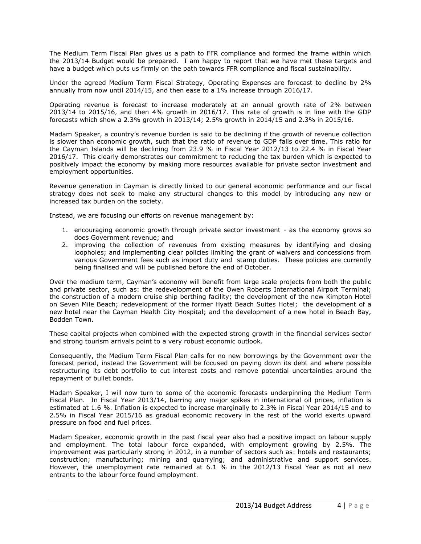The Medium Term Fiscal Plan gives us a path to FFR compliance and formed the frame within which the 2013/14 Budget would be prepared. I am happy to report that we have met these targets and have a budget which puts us firmly on the path towards FFR compliance and fiscal sustainability.

Under the agreed Medium Term Fiscal Strategy, Operating Expenses are forecast to decline by 2% annually from now until 2014/15, and then ease to a 1% increase through 2016/17.

Operating revenue is forecast to increase moderately at an annual growth rate of 2% between 2013/14 to 2015/16, and then 4% growth in 2016/17. This rate of growth is in line with the GDP forecasts which show a 2.3% growth in 2013/14; 2.5% growth in 2014/15 and 2.3% in 2015/16.

Madam Speaker, a country's revenue burden is said to be declining if the growth of revenue collection is slower than economic growth, such that the ratio of revenue to GDP falls over time. This ratio for the Cayman Islands will be declining from 23.9 % in Fiscal Year 2012/13 to 22.4 % in Fiscal Year 2016/17. This clearly demonstrates our commitment to reducing the tax burden which is expected to positively impact the economy by making more resources available for private sector investment and employment opportunities.

Revenue generation in Cayman is directly linked to our general economic performance and our fiscal strategy does not seek to make any structural changes to this model by introducing any new or increased tax burden on the society.

Instead, we are focusing our efforts on revenue management by:

- 1. encouraging economic growth through private sector investment as the economy grows so does Government revenue; and
- 2. improving the collection of revenues from existing measures by identifying and closing loopholes; and implementing clear policies limiting the grant of waivers and concessions from various Government fees such as import duty and stamp duties. These policies are currently being finalised and will be published before the end of October.

Over the medium term, Cayman's economy will benefit from large scale projects from both the public and private sector, such as: the redevelopment of the Owen Roberts International Airport Terminal; the construction of a modern cruise ship berthing facility; the development of the new Kimpton Hotel on Seven Mile Beach; redevelopment of the former Hyatt Beach Suites Hotel; the development of a new hotel near the Cayman Health City Hospital; and the development of a new hotel in Beach Bay, Bodden Town.

These capital projects when combined with the expected strong growth in the financial services sector and strong tourism arrivals point to a very robust economic outlook.

Consequently, the Medium Term Fiscal Plan calls for no new borrowings by the Government over the forecast period, instead the Government will be focused on paying down its debt and where possible restructuring its debt portfolio to cut interest costs and remove potential uncertainties around the repayment of bullet bonds.

Madam Speaker, I will now turn to some of the economic forecasts underpinning the Medium Term Fiscal Plan. In Fiscal Year 2013/14, barring any major spikes in international oil prices, inflation is estimated at 1.6 %. Inflation is expected to increase marginally to 2.3% in Fiscal Year 2014/15 and to 2.5% in Fiscal Year 2015/16 as gradual economic recovery in the rest of the world exerts upward pressure on food and fuel prices.

Madam Speaker, economic growth in the past fiscal year also had a positive impact on labour supply and employment. The total labour force expanded, with employment growing by 2.5%. The improvement was particularly strong in 2012, in a number of sectors such as: hotels and restaurants; construction; manufacturing; mining and quarrying; and administrative and support services. However, the unemployment rate remained at 6.1 % in the 2012/13 Fiscal Year as not all new entrants to the labour force found employment.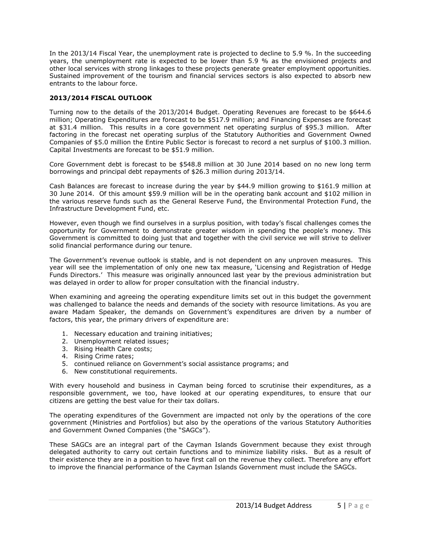In the 2013/14 Fiscal Year, the unemployment rate is projected to decline to 5.9 %. In the succeeding years, the unemployment rate is expected to be lower than 5.9 % as the envisioned projects and other local services with strong linkages to these projects generate greater employment opportunities. Sustained improvement of the tourism and financial services sectors is also expected to absorb new entrants to the labour force.

#### **2013/2014 FISCAL OUTLOOK**

Turning now to the details of the 2013/2014 Budget. Operating Revenues are forecast to be \$644.6 million; Operating Expenditures are forecast to be \$517.9 million; and Financing Expenses are forecast at \$31.4 million. This results in a core government net operating surplus of \$95.3 million. After factoring in the forecast net operating surplus of the Statutory Authorities and Government Owned Companies of \$5.0 million the Entire Public Sector is forecast to record a net surplus of \$100.3 million. Capital Investments are forecast to be \$51.9 million.

Core Government debt is forecast to be \$548.8 million at 30 June 2014 based on no new long term borrowings and principal debt repayments of \$26.3 million during 2013/14.

Cash Balances are forecast to increase during the year by \$44.9 million growing to \$161.9 million at 30 June 2014. Of this amount \$59.9 million will be in the operating bank account and \$102 million in the various reserve funds such as the General Reserve Fund, the Environmental Protection Fund, the Infrastructure Development Fund, etc.

However, even though we find ourselves in a surplus position, with today's fiscal challenges comes the opportunity for Government to demonstrate greater wisdom in spending the people's money. This Government is committed to doing just that and together with the civil service we will strive to deliver solid financial performance during our tenure.

The Government's revenue outlook is stable, and is not dependent on any unproven measures. This year will see the implementation of only one new tax measure, 'Licensing and Registration of Hedge Funds Directors.' This measure was originally announced last year by the previous administration but was delayed in order to allow for proper consultation with the financial industry.

When examining and agreeing the operating expenditure limits set out in this budget the government was challenged to balance the needs and demands of the society with resource limitations. As you are aware Madam Speaker, the demands on Government's expenditures are driven by a number of factors, this year, the primary drivers of expenditure are:

- 1. Necessary education and training initiatives;
- 2. Unemployment related issues;
- 3. Rising Health Care costs;
- 4. Rising Crime rates;
- 5. continued reliance on Government's social assistance programs; and
- 6. New constitutional requirements.

With every household and business in Cayman being forced to scrutinise their expenditures, as a responsible government, we too, have looked at our operating expenditures, to ensure that our citizens are getting the best value for their tax dollars.

The operating expenditures of the Government are impacted not only by the operations of the core government (Ministries and Portfolios) but also by the operations of the various Statutory Authorities and Government Owned Companies (the "SAGCs").

These SAGCs are an integral part of the Cayman Islands Government because they exist through delegated authority to carry out certain functions and to minimize liability risks. But as a result of their existence they are in a position to have first call on the revenue they collect. Therefore any effort to improve the financial performance of the Cayman Islands Government must include the SAGCs.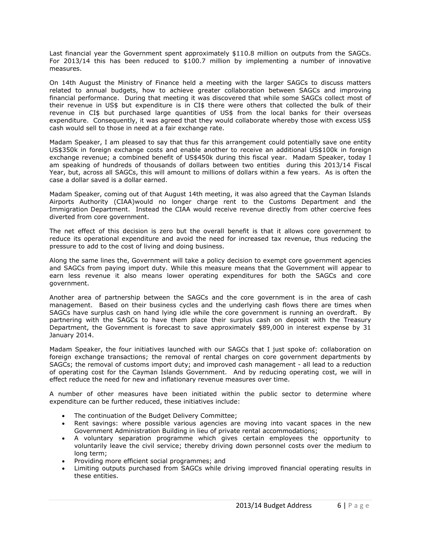Last financial year the Government spent approximately \$110.8 million on outputs from the SAGCs. For 2013/14 this has been reduced to \$100.7 million by implementing a number of innovative measures.

On 14th August the Ministry of Finance held a meeting with the larger SAGCs to discuss matters related to annual budgets, how to achieve greater collaboration between SAGCs and improving financial performance. During that meeting it was discovered that while some SAGCs collect most of their revenue in US\$ but expenditure is in CI\$ there were others that collected the bulk of their revenue in CI\$ but purchased large quantities of US\$ from the local banks for their overseas expenditure. Consequently, it was agreed that they would collaborate whereby those with excess US\$ cash would sell to those in need at a fair exchange rate.

Madam Speaker, I am pleased to say that thus far this arrangement could potentially save one entity US\$350k in foreign exchange costs and enable another to receive an additional US\$100k in foreign exchange revenue; a combined benefit of US\$450k during this fiscal year. Madam Speaker, today I am speaking of hundreds of thousands of dollars between two entities during this 2013/14 Fiscal Year, but, across all SAGCs, this will amount to millions of dollars within a few years. As is often the case a dollar saved is a dollar earned.

Madam Speaker, coming out of that August 14th meeting, it was also agreed that the Cayman Islands Airports Authority (CIAA)would no longer charge rent to the Customs Department and the Immigration Department. Instead the CIAA would receive revenue directly from other coercive fees diverted from core government.

The net effect of this decision is zero but the overall benefit is that it allows core government to reduce its operational expenditure and avoid the need for increased tax revenue, thus reducing the pressure to add to the cost of living and doing business.

Along the same lines the, Government will take a policy decision to exempt core government agencies and SAGCs from paying import duty. While this measure means that the Government will appear to earn less revenue it also means lower operating expenditures for both the SAGCs and core government.

Another area of partnership between the SAGCs and the core government is in the area of cash management. Based on their business cycles and the underlying cash flows there are times when SAGCs have surplus cash on hand lying idle while the core government is running an overdraft. By partnering with the SAGCs to have them place their surplus cash on deposit with the Treasury Department, the Government is forecast to save approximately \$89,000 in interest expense by 31 January 2014.

Madam Speaker, the four initiatives launched with our SAGCs that I just spoke of: collaboration on foreign exchange transactions; the removal of rental charges on core government departments by SAGCs; the removal of customs import duty; and improved cash management - all lead to a reduction of operating cost for the Cayman Islands Government. And by reducing operating cost, we will in effect reduce the need for new and inflationary revenue measures over time.

A number of other measures have been initiated within the public sector to determine where expenditure can be further reduced, these initiatives include:

- The continuation of the Budget Delivery Committee;
- Rent savings: where possible various agencies are moving into vacant spaces in the new Government Administration Building in lieu of private rental accommodations;
- A voluntary separation programme which gives certain employees the opportunity to voluntarily leave the civil service; thereby driving down personnel costs over the medium to long term;
- Providing more efficient social programmes; and
- Limiting outputs purchased from SAGCs while driving improved financial operating results in these entities.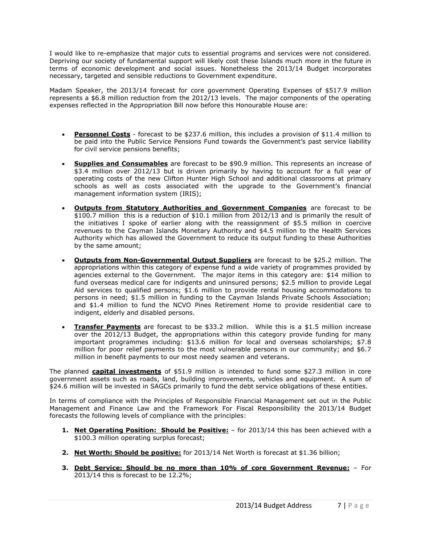I would like to re-emphasize that major cuts to essential programs and services were not considered. Depriving our society of fundamental support will likely cost these Islands much more in the future in terms of economic development and social issues. Nonetheless the 2013/14 Budget incorporates necessary, targeted and sensible reductions to Government expenditure.

Madam Speaker, the 2013/14 forecast for core government Operating Expenses of \$517.9 million represents a \$6.8 million reduction from the 2012/13 levels. The major components of the operating expenses reflected in the Appropriation Bill now before this Honourable House are:

- **Personnel Costs** forecast to be \$237.6 million, this includes a provision of \$11.4 million to be paid into the Public Service Pensions Fund towards the Government's past service liability for civil service pensions benefits;
- **Supplies and Consumables** are forecast to be \$90.9 million. This represents an increase of \$3.4 million over 2012/13 but is driven primarily by having to account for a full year of operating costs of the new Clifton Hunter High School and additional classrooms at primary schools as well as costs associated with the upgrade to the Government's financial management information system (IRIS);
- **Outputs from Statutory Authorities and Government Companies** are forecast to be \$100.7 million this is a reduction of \$10.1 million from 2012/13 and is primarily the result of the initiatives I spoke of earlier along with the reassignment of \$5.5 million in coercive revenues to the Cayman Islands Monetary Authority and \$4.5 million to the Health Services Authority which has allowed the Government to reduce its output funding to these Authorities by the same amount;
- **Outputs from Non-Governmental Output Suppliers** are forecast to be \$25.2 million. The appropriations within this category of expense fund a wide variety of programmes provided by agencies external to the Government. The major items in this category are: \$14 million to fund overseas medical care for indigents and uninsured persons; \$2.5 million to provide Legal Aid services to qualified persons; \$1.6 million to provide rental housing accommodations to persons in need; \$1.5 million in funding to the Cayman Islands Private Schools Association; and \$1.4 million to fund the NCVO Pines Retirement Home to provide residential care to indigent, elderly and disabled persons.
- **Transfer Payments** are forecast to be \$33.2 million. While this is a \$1.5 million increase over the 2012/13 Budget, the appropriations within this category provide funding for many important programmes including: \$13.6 million for local and overseas scholarships; \$7.8 million for poor relief payments to the most vulnerable persons in our community; and \$6.7 million in benefit payments to our most needy seamen and veterans.

The planned **capital investments** of \$51.9 million is intended to fund some \$27.3 million in core government assets such as roads, land, building improvements, vehicles and equipment. A sum of \$24.6 million will be invested in SAGCs primarily to fund the debt service obligations of these entities.

In terms of compliance with the Principles of Responsible Financial Management set out in the Public Management and Finance Law and the Framework For Fiscal Responsibility the 2013/14 Budget forecasts the following levels of compliance with the principles:

- **1. Net Operating Position: Should be Positive:** for 2013/14 this has been achieved with a \$100.3 million operating surplus forecast;
- **2. Net Worth: Should be positive:** for 2013/14 Net Worth is forecast at \$1.36 billion;
- **3. Debt Service: Should be no more than 10% of core Government Revenue:** For 2013/14 this is forecast to be 12.2%;